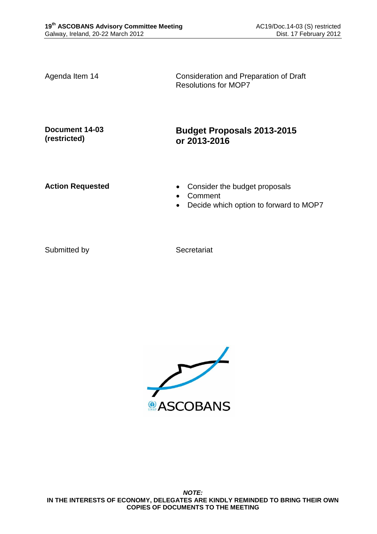Agenda Item 14 Consideration and Preparation of Draft Resolutions for MOP7

**Document 14-03 (restricted)**

# **Budget Proposals 2013-2015 or 2013-2016**

- Action Requested **Consider the budget proposals** 
	- Comment
	- Decide which option to forward to MOP7

Submitted by Secretariat

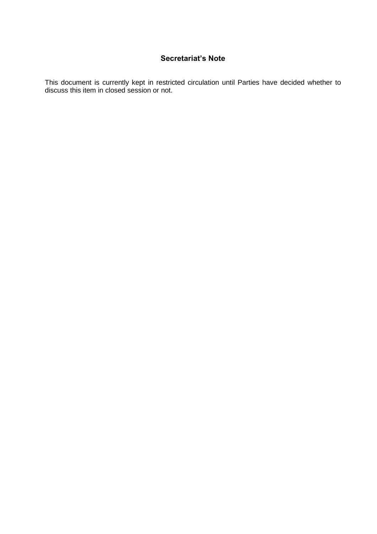# **Secretariat's Note**

This document is currently kept in restricted circulation until Parties have decided whether to discuss this item in closed session or not.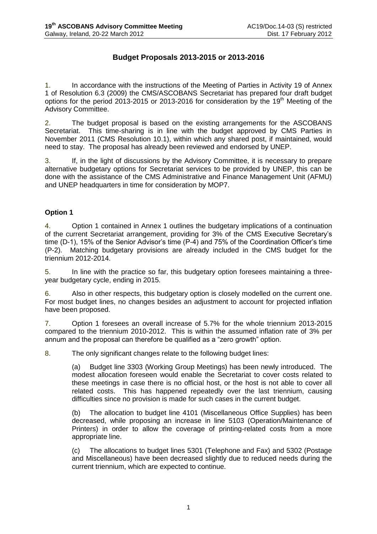# **Budget Proposals 2013-2015 or 2013-2016**

1. In accordance with the instructions of the Meeting of Parties in Activity 19 of Annex 1 of Resolution 6.3 (2009) the CMS/ASCOBANS Secretariat has prepared four draft budget options for the period 2013-2015 or 2013-2016 for consideration by the 19<sup>th</sup> Meeting of the Advisory Committee.

2. The budget proposal is based on the existing arrangements for the ASCOBANS Secretariat. This time-sharing is in line with the budget approved by CMS Parties in November 2011 (CMS Resolution 10.1), within which any shared post, if maintained, would need to stay. The proposal has already been reviewed and endorsed by UNEP.

3. If, in the light of discussions by the Advisory Committee, it is necessary to prepare alternative budgetary options for Secretariat services to be provided by UNEP, this can be done with the assistance of the CMS Administrative and Finance Management Unit (AFMU) and UNEP headquarters in time for consideration by MOP7.

### **Option 1**

4. Option 1 contained in Annex 1 outlines the budgetary implications of a continuation of the current Secretariat arrangement, providing for 3% of the CMS Executive Secretary's time (D-1), 15% of the Senior Advisor's time (P-4) and 75% of the Coordination Officer's time (P-2). Matching budgetary provisions are already included in the CMS budget for the triennium 2012-2014.

5. In line with the practice so far, this budgetary option foresees maintaining a threeyear budgetary cycle, ending in 2015.

6. Also in other respects, this budgetary option is closely modelled on the current one. For most budget lines, no changes besides an adjustment to account for projected inflation have been proposed.

7. Option 1 foresees an overall increase of 5.7% for the whole triennium 2013-2015 compared to the triennium 2010-2012. This is within the assumed inflation rate of 3% per annum and the proposal can therefore be qualified as a "zero growth" option.

8. The only significant changes relate to the following budget lines:

(a) Budget line 3303 (Working Group Meetings) has been newly introduced. The modest allocation foreseen would enable the Secretariat to cover costs related to these meetings in case there is no official host, or the host is not able to cover all related costs. This has happened repeatedly over the last triennium, causing difficulties since no provision is made for such cases in the current budget.

(b) The allocation to budget line 4101 (Miscellaneous Office Supplies) has been decreased, while proposing an increase in line 5103 (Operation/Maintenance of Printers) in order to allow the coverage of printing-related costs from a more appropriate line.

(c) The allocations to budget lines 5301 (Telephone and Fax) and 5302 (Postage and Miscellaneous) have been decreased slightly due to reduced needs during the current triennium, which are expected to continue.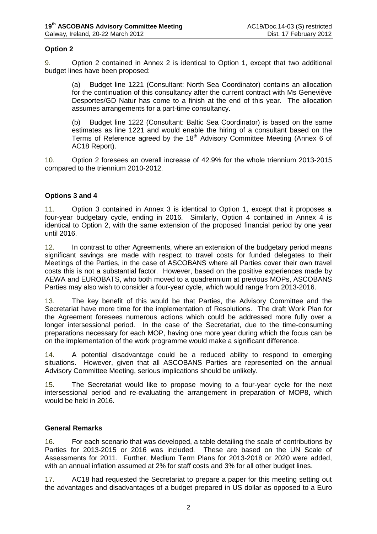### **Option 2**

9. Option 2 contained in Annex 2 is identical to Option 1, except that two additional budget lines have been proposed:

(a) Budget line 1221 (Consultant: North Sea Coordinator) contains an allocation for the continuation of this consultancy after the current contract with Ms Geneviève Desportes/GD Natur has come to a finish at the end of this year. The allocation assumes arrangements for a part-time consultancy.

(b) Budget line 1222 (Consultant: Baltic Sea Coordinator) is based on the same estimates as line 1221 and would enable the hiring of a consultant based on the Terms of Reference agreed by the  $18<sup>th</sup>$  Advisory Committee Meeting (Annex 6 of AC18 Report).

10. Option 2 foresees an overall increase of 42.9% for the whole triennium 2013-2015 compared to the triennium 2010-2012.

#### **Options 3 and 4**

11. Option 3 contained in Annex 3 is identical to Option 1, except that it proposes a four-year budgetary cycle, ending in 2016. Similarly, Option 4 contained in Annex 4 is identical to Option 2, with the same extension of the proposed financial period by one year until 2016.

12. In contrast to other Agreements, where an extension of the budgetary period means significant savings are made with respect to travel costs for funded delegates to their Meetings of the Parties, in the case of ASCOBANS where all Parties cover their own travel costs this is not a substantial factor. However, based on the positive experiences made by AEWA and EUROBATS, who both moved to a quadrennium at previous MOPs, ASCOBANS Parties may also wish to consider a four-year cycle, which would range from 2013-2016.

13. The key benefit of this would be that Parties, the Advisory Committee and the Secretariat have more time for the implementation of Resolutions. The draft Work Plan for the Agreement foresees numerous actions which could be addressed more fully over a longer intersessional period. In the case of the Secretariat, due to the time-consuming preparations necessary for each MOP, having one more year during which the focus can be on the implementation of the work programme would make a significant difference.

14. A potential disadvantage could be a reduced ability to respond to emerging situations. However, given that all ASCOBANS Parties are represented on the annual Advisory Committee Meeting, serious implications should be unlikely.

15. The Secretariat would like to propose moving to a four-year cycle for the next intersessional period and re-evaluating the arrangement in preparation of MOP8, which would be held in 2016.

#### **General Remarks**

16. For each scenario that was developed, a table detailing the scale of contributions by Parties for 2013-2015 or 2016 was included. These are based on the UN Scale of Assessments for 2011. Further, Medium Term Plans for 2013-2018 or 2020 were added, with an annual inflation assumed at 2% for staff costs and 3% for all other budget lines.

17. AC18 had requested the Secretariat to prepare a paper for this meeting setting out the advantages and disadvantages of a budget prepared in US dollar as opposed to a Euro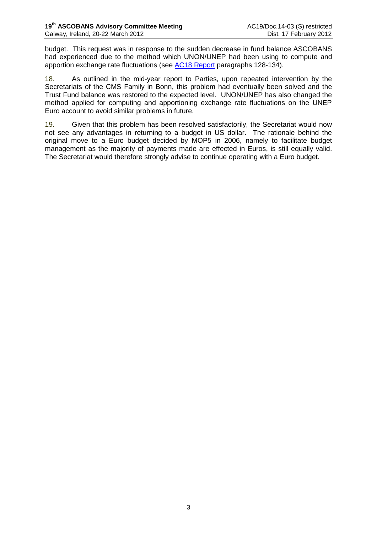budget. This request was in response to the sudden decrease in fund balance ASCOBANS had experienced due to the method which UNON/UNEP had been using to compute and apportion exchange rate fluctuations (see [AC18 Report](http://www.ascobans.org/pdf/ac18/ASCOBANS_AC18_Report_inclAnnexes.pdf) paragraphs 128-134).

18. As outlined in the mid-year report to Parties, upon repeated intervention by the Secretariats of the CMS Family in Bonn, this problem had eventually been solved and the Trust Fund balance was restored to the expected level. UNON/UNEP has also changed the method applied for computing and apportioning exchange rate fluctuations on the UNEP Euro account to avoid similar problems in future.

19. Given that this problem has been resolved satisfactorily, the Secretariat would now not see any advantages in returning to a budget in US dollar. The rationale behind the original move to a Euro budget decided by MOP5 in 2006, namely to facilitate budget management as the majority of payments made are effected in Euros, is still equally valid. The Secretariat would therefore strongly advise to continue operating with a Euro budget.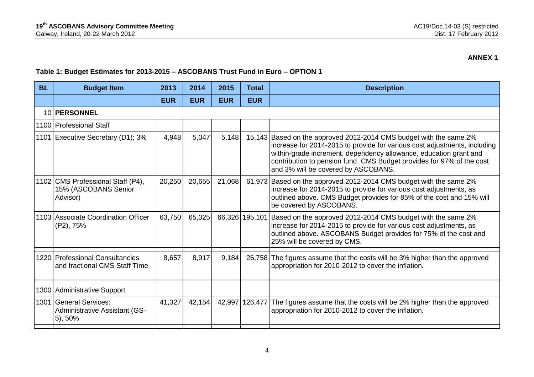#### **Table 1: Budget Estimates for 2013-2015 – ASCOBANS Trust Fund in Euro – OPTION 1**

| <b>BL</b> | <b>Budget Item</b>                                                          | 2013       | 2014       | 2015       | <b>Total</b> | <b>Description</b>                                                                                                                                                                                                                                                                                                                   |
|-----------|-----------------------------------------------------------------------------|------------|------------|------------|--------------|--------------------------------------------------------------------------------------------------------------------------------------------------------------------------------------------------------------------------------------------------------------------------------------------------------------------------------------|
|           |                                                                             | <b>EUR</b> | <b>EUR</b> | <b>EUR</b> | <b>EUR</b>   |                                                                                                                                                                                                                                                                                                                                      |
|           | 10 PERSONNEL                                                                |            |            |            |              |                                                                                                                                                                                                                                                                                                                                      |
|           | 1100 Professional Staff                                                     |            |            |            |              |                                                                                                                                                                                                                                                                                                                                      |
| 1101      | Executive Secretary (D1); 3%                                                | 4,948      | 5,047      | 5,148      |              | 15,143 Based on the approved 2012-2014 CMS budget with the same 2%<br>increase for 2014-2015 to provide for various cost adjustments, including<br>within-grade increment, dependency allowance, education grant and<br>contribution to pension fund. CMS Budget provides for 97% of the cost<br>and 3% will be covered by ASCOBANS. |
|           | 1102 CMS Professional Staff (P4),<br>15% (ASCOBANS Senior<br>Advisor)       | 20,250     | 20,655     | 21,068     |              | 61,973 Based on the approved 2012-2014 CMS budget with the same 2%<br>increase for 2014-2015 to provide for various cost adjustments, as<br>outlined above. CMS Budget provides for 85% of the cost and 15% will<br>be covered by ASCOBANS.                                                                                          |
|           | 1103 Associate Coordination Officer<br>(P2), 75%                            | 63,750     | 65,025     |            |              | 66,326 195,101 Based on the approved 2012-2014 CMS budget with the same 2%<br>increase for 2014-2015 to provide for various cost adjustments, as<br>outlined above. ASCOBANS Budget provides for 75% of the cost and<br>25% will be covered by CMS.                                                                                  |
|           | 1220 Professional Consultancies<br>and fractional CMS Staff Time            | 8,657      | 8,917      | 9,184      |              | 26,758 The figures assume that the costs will be 3% higher than the approved<br>appropriation for 2010-2012 to cover the inflation.                                                                                                                                                                                                  |
|           | 1300 Administrative Support                                                 |            |            |            |              |                                                                                                                                                                                                                                                                                                                                      |
| 1301      | <b>General Services:</b><br><b>Administrative Assistant (GS-</b><br>5), 50% | 41,327     | 42,154     | 42,997     |              | 126,477 The figures assume that the costs will be 2% higher than the approved<br>appropriation for 2010-2012 to cover the inflation.                                                                                                                                                                                                 |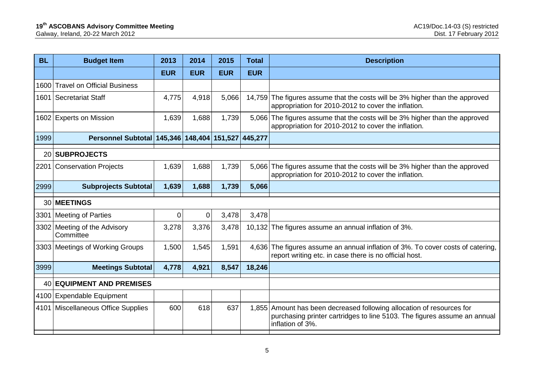| <b>BL</b> | <b>Budget Item</b>                         | 2013        | 2014       | 2015       | <b>Total</b> | <b>Description</b>                                                                                                                                                    |
|-----------|--------------------------------------------|-------------|------------|------------|--------------|-----------------------------------------------------------------------------------------------------------------------------------------------------------------------|
|           |                                            | <b>EUR</b>  | <b>EUR</b> | <b>EUR</b> | <b>EUR</b>   |                                                                                                                                                                       |
| 1600      | <b>Travel on Official Business</b>         |             |            |            |              |                                                                                                                                                                       |
| 1601      | <b>Secretariat Staff</b>                   | 4,775       | 4,918      | 5,066      |              | 14,759 The figures assume that the costs will be 3% higher than the approved<br>appropriation for 2010-2012 to cover the inflation.                                   |
|           | 1602 Experts on Mission                    | 1,639       | 1,688      | 1,739      |              | 5,066 The figures assume that the costs will be 3% higher than the approved<br>appropriation for 2010-2012 to cover the inflation.                                    |
| 1999      | Personnel Subtotal 145,346 148,404 151,527 |             |            |            | 445,277      |                                                                                                                                                                       |
| 20        | <b>SUBPROJECTS</b>                         |             |            |            |              |                                                                                                                                                                       |
| 2201      | <b>Conservation Projects</b>               | 1,639       | 1,688      | 1,739      |              | 5,066 The figures assume that the costs will be 3% higher than the approved<br>appropriation for 2010-2012 to cover the inflation.                                    |
| 2999      | <b>Subprojects Subtotal</b>                | 1,639       | 1,688      | 1,739      | 5,066        |                                                                                                                                                                       |
| 30        | <b>MEETINGS</b>                            |             |            |            |              |                                                                                                                                                                       |
| 3301      | <b>Meeting of Parties</b>                  | $\mathbf 0$ | 0          | 3,478      | 3,478        |                                                                                                                                                                       |
|           | 3302 Meeting of the Advisory<br>Committee  | 3,278       | 3,376      | 3,478      |              | 10,132 The figures assume an annual inflation of 3%.                                                                                                                  |
|           | 3303 Meetings of Working Groups            | 1,500       | 1,545      | 1,591      |              | 4,636 The figures assume an annual inflation of 3%. To cover costs of catering,<br>report writing etc. in case there is no official host.                             |
| 3999      | <b>Meetings Subtotal</b>                   | 4,778       | 4,921      | 8,547      | 18,246       |                                                                                                                                                                       |
| 40        | <b>EQUIPMENT AND PREMISES</b>              |             |            |            |              |                                                                                                                                                                       |
|           | 4100 Expendable Equipment                  |             |            |            |              |                                                                                                                                                                       |
|           | 4101   Miscellaneous Office Supplies       | 600         | 618        | 637        |              | 1,855 Amount has been decreased following allocation of resources for<br>purchasing printer cartridges to line 5103. The figures assume an annual<br>inflation of 3%. |
|           |                                            |             |            |            |              |                                                                                                                                                                       |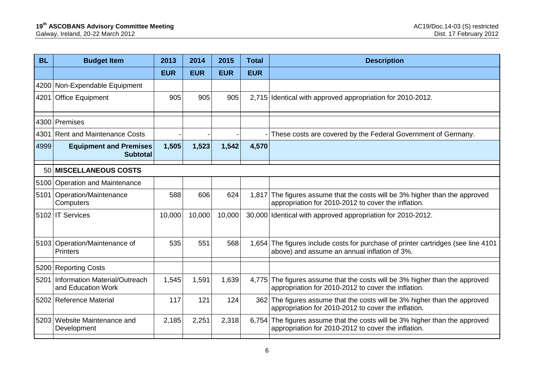| <b>Budget Item</b>                                  | 2013                                                                                                                                                                                  | 2014       | 2015       | <b>Total</b> | <b>Description</b>                                                                                                                 |
|-----------------------------------------------------|---------------------------------------------------------------------------------------------------------------------------------------------------------------------------------------|------------|------------|--------------|------------------------------------------------------------------------------------------------------------------------------------|
|                                                     | <b>EUR</b>                                                                                                                                                                            | <b>EUR</b> | <b>EUR</b> | <b>EUR</b>   |                                                                                                                                    |
| Non-Expendable Equipment                            |                                                                                                                                                                                       |            |            |              |                                                                                                                                    |
| <b>Office Equipment</b>                             | 905                                                                                                                                                                                   | 905        | 905        |              | 2,715 Identical with approved appropriation for 2010-2012.                                                                         |
|                                                     |                                                                                                                                                                                       |            |            |              |                                                                                                                                    |
| <b>Rent and Maintenance Costs</b>                   |                                                                                                                                                                                       |            |            |              | These costs are covered by the Federal Government of Germany.                                                                      |
| <b>Equipment and Premises</b><br><b>Subtotal</b>    | 1,505                                                                                                                                                                                 | 1,523      | 1,542      | 4,570        |                                                                                                                                    |
| <b>MISCELLANEOUS COSTS</b>                          |                                                                                                                                                                                       |            |            |              |                                                                                                                                    |
|                                                     |                                                                                                                                                                                       |            |            |              |                                                                                                                                    |
| Operation/Maintenance<br>Computers                  | 588                                                                                                                                                                                   | 606        | 624        |              | 1,817 The figures assume that the costs will be 3% higher than the approved<br>appropriation for 2010-2012 to cover the inflation. |
|                                                     | 10,000                                                                                                                                                                                | 10,000     | 10,000     |              | 30,000 Identical with approved appropriation for 2010-2012.                                                                        |
| <b>Printers</b>                                     | 535                                                                                                                                                                                   | 551        | 568        |              | 1,654 The figures include costs for purchase of printer cartridges (see line 4101<br>above) and assume an annual inflation of 3%.  |
|                                                     |                                                                                                                                                                                       |            |            |              |                                                                                                                                    |
| Information Material/Outreach<br>and Education Work | 1,545                                                                                                                                                                                 | 1,591      | 1,639      |              | 4,775 The figures assume that the costs will be 3% higher than the approved<br>appropriation for 2010-2012 to cover the inflation. |
|                                                     | 117                                                                                                                                                                                   | 121        | 124        |              | 362 The figures assume that the costs will be 3% higher than the approved<br>appropriation for 2010-2012 to cover the inflation.   |
| Website Maintenance and<br>Development              | 2,185                                                                                                                                                                                 | 2,251      | 2,318      |              | 6,754 The figures assume that the costs will be 3% higher than the approved<br>appropriation for 2010-2012 to cover the inflation. |
| 4200<br>4201<br>4999                                | 4300 Premises<br>50<br>5100 Operation and Maintenance<br>5101<br>5102 IT Services<br>5103 Operation/Maintenance of<br>5200 Reporting Costs<br>5201<br>5202 Reference Material<br>5203 |            |            |              |                                                                                                                                    |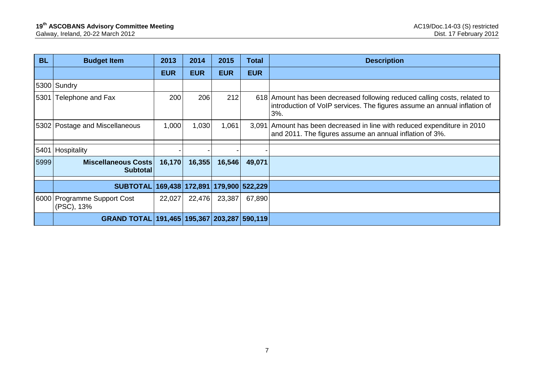| <b>BL</b> | <b>Budget Item</b>                            | 2013       | 2014                                  | 2015       | <b>Total</b> | <b>Description</b>                                                                                                                                           |
|-----------|-----------------------------------------------|------------|---------------------------------------|------------|--------------|--------------------------------------------------------------------------------------------------------------------------------------------------------------|
|           |                                               | <b>EUR</b> | <b>EUR</b>                            | <b>EUR</b> | <b>EUR</b>   |                                                                                                                                                              |
|           | 5300 Sundry                                   |            |                                       |            |              |                                                                                                                                                              |
| 5301      | Telephone and Fax                             | 200        | 206                                   | 212        |              | 618 Amount has been decreased following reduced calling costs, related to<br>introduction of VoIP services. The figures assume an annual inflation of<br>3%. |
|           | 5302 Postage and Miscellaneous                | 1,000      | 1,030                                 | 1,061      |              | 3,091 Amount has been decreased in line with reduced expenditure in 2010<br>and 2011. The figures assume an annual inflation of 3%.                          |
| 5401      | Hospitality                                   |            |                                       |            |              |                                                                                                                                                              |
| 5999      | <b>Miscellaneous Costs</b><br><b>Subtotal</b> | 16,170     | 16,355                                | 16,546     | 49,071       |                                                                                                                                                              |
|           | <b>SUBTOTAL</b>                               |            | 169,438   172,891   179,900   522,229 |            |              |                                                                                                                                                              |
|           | 6000 Programme Support Cost<br>(PSC), 13%     | 22,027     | 22,476                                | 23,387     | 67,890       |                                                                                                                                                              |
|           | <b>GRAND TOTAL</b>                            |            | 191,465   195,367   203,287   590,119 |            |              |                                                                                                                                                              |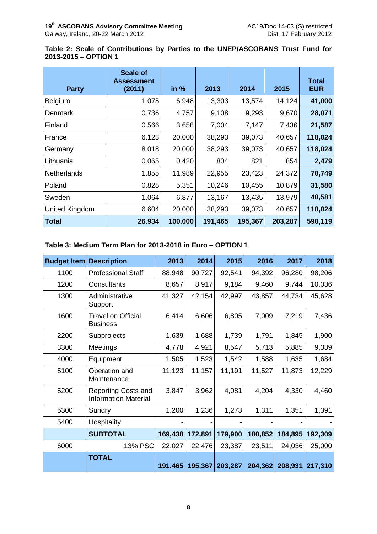# **Table 2: Scale of Contributions by Parties to the UNEP/ASCOBANS Trust Fund for 2013-2015 – OPTION 1**

| <b>Party</b>       | <b>Scale of</b><br><b>Assessment</b><br>(2011) | in %    | 2013    | 2014    | 2015    | <b>Total</b><br><b>EUR</b> |
|--------------------|------------------------------------------------|---------|---------|---------|---------|----------------------------|
| Belgium            | 1.075                                          | 6.948   | 13,303  | 13,574  | 14,124  | 41,000                     |
| Denmark            | 0.736                                          | 4.757   | 9,108   | 9,293   | 9,670   | 28,071                     |
| Finland            | 0.566                                          | 3.658   | 7,004   | 7,147   | 7,436   | 21,587                     |
| France             | 6.123                                          | 20.000  | 38,293  | 39,073  | 40,657  | 118,024                    |
| Germany            | 8.018                                          | 20.000  | 38,293  | 39,073  | 40,657  | 118,024                    |
| Lithuania          | 0.065                                          | 0.420   | 804     | 821     | 854     | 2,479                      |
| <b>Netherlands</b> | 1.855                                          | 11.989  | 22,955  | 23,423  | 24,372  | 70,749                     |
| Poland             | 0.828                                          | 5.351   | 10,246  | 10,455  | 10,879  | 31,580                     |
| Sweden             | 1.064                                          | 6.877   | 13,167  | 13,435  | 13,979  | 40,581                     |
| United Kingdom     | 6.604                                          | 20.000  | 38,293  | 39,073  | 40,657  | 118,024                    |
| <b>Total</b>       | 26.934                                         | 100.000 | 191,465 | 195,367 | 203,287 | 590,119                    |

# **Table 3: Medium Term Plan for 2013-2018 in Euro – OPTION 1**

| <b>Budget Item</b> | <b>Description</b>                                        | 2013    | 2014    | 2015    | 2016    | 2017    | 2018    |
|--------------------|-----------------------------------------------------------|---------|---------|---------|---------|---------|---------|
| 1100               | <b>Professional Staff</b>                                 | 88,948  | 90,727  | 92,541  | 94,392  | 96,280  | 98,206  |
| 1200               | Consultants                                               | 8,657   | 8,917   | 9,184   | 9,460   | 9,744   | 10,036  |
| 1300               | Administrative<br>Support                                 | 41,327  | 42,154  | 42,997  | 43,857  | 44,734  | 45,628  |
| 1600               | <b>Travel on Official</b><br><b>Business</b>              | 6,414   | 6,606   | 6,805   | 7,009   | 7,219   | 7,436   |
| 2200               | Subprojects                                               | 1,639   | 1,688   | 1,739   | 1,791   | 1,845   | 1,900   |
| 3300               | Meetings                                                  | 4,778   | 4,921   | 8,547   | 5,713   | 5,885   | 9,339   |
| 4000               | Equipment                                                 | 1,505   | 1,523   | 1,542   | 1,588   | 1,635   | 1,684   |
| 5100               | Operation and<br>Maintenance                              | 11,123  | 11,157  | 11,191  | 11,527  | 11,873  | 12,229  |
| 5200               | <b>Reporting Costs and</b><br><b>Information Material</b> | 3,847   | 3,962   | 4,081   | 4,204   | 4,330   | 4,460   |
| 5300               | Sundry                                                    | 1,200   | 1,236   | 1,273   | 1,311   | 1,351   | 1,391   |
| 5400               | Hospitality                                               |         |         |         |         |         |         |
|                    | <b>SUBTOTAL</b>                                           | 169,438 | 172,891 | 179,900 | 180,852 | 184,895 | 192,309 |
| 6000               | 13% PSC                                                   | 22,027  | 22,476  | 23,387  | 23,511  | 24,036  | 25,000  |
|                    | <b>TOTAL</b>                                              | 191,465 | 195,367 | 203,287 | 204,362 | 208,931 | 217,310 |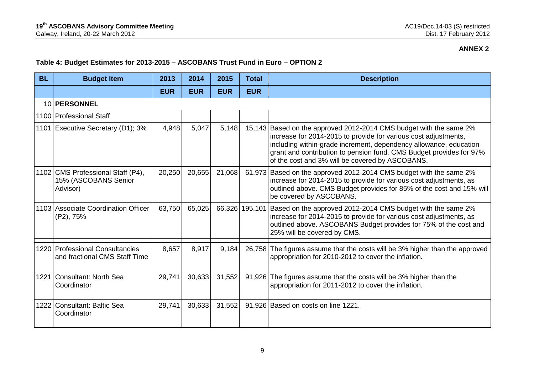# **Table 4: Budget Estimates for 2013-2015 – ASCOBANS Trust Fund in Euro – OPTION 2**

| <b>BL</b> | <b>Budget Item</b>                                                    | 2013       | 2014       | 2015       | Total          | <b>Description</b>                                                                                                                                                                                                                                                                                                                   |
|-----------|-----------------------------------------------------------------------|------------|------------|------------|----------------|--------------------------------------------------------------------------------------------------------------------------------------------------------------------------------------------------------------------------------------------------------------------------------------------------------------------------------------|
|           |                                                                       | <b>EUR</b> | <b>EUR</b> | <b>EUR</b> | <b>EUR</b>     |                                                                                                                                                                                                                                                                                                                                      |
|           | 10 PERSONNEL                                                          |            |            |            |                |                                                                                                                                                                                                                                                                                                                                      |
|           | 1100 Professional Staff                                               |            |            |            |                |                                                                                                                                                                                                                                                                                                                                      |
|           | 1101 Executive Secretary (D1); 3%                                     | 4,948      | 5,047      | 5,148      |                | 15,143 Based on the approved 2012-2014 CMS budget with the same 2%<br>increase for 2014-2015 to provide for various cost adjustments,<br>including within-grade increment, dependency allowance, education<br>grant and contribution to pension fund. CMS Budget provides for 97%<br>of the cost and 3% will be covered by ASCOBANS. |
|           | 1102 CMS Professional Staff (P4),<br>15% (ASCOBANS Senior<br>Advisor) | 20,250     | 20,655     | 21,068     | 61,973         | Based on the approved 2012-2014 CMS budget with the same 2%<br>increase for 2014-2015 to provide for various cost adjustments, as<br>outlined above. CMS Budget provides for 85% of the cost and 15% will<br>be covered by ASCOBANS.                                                                                                 |
|           | 1103 Associate Coordination Officer<br>(P2), 75%                      | 63,750     | 65,025     |            | 66,326 195,101 | Based on the approved 2012-2014 CMS budget with the same 2%<br>increase for 2014-2015 to provide for various cost adjustments, as<br>outlined above. ASCOBANS Budget provides for 75% of the cost and<br>25% will be covered by CMS.                                                                                                 |
|           | 1220 Professional Consultancies<br>and fractional CMS Staff Time      | 8,657      | 8,917      | 9,184      | 26,758         | The figures assume that the costs will be 3% higher than the approved<br>appropriation for 2010-2012 to cover the inflation.                                                                                                                                                                                                         |
| 1221      | Consultant: North Sea<br>Coordinator                                  | 29,741     | 30,633     | 31,552     | 91,926         | The figures assume that the costs will be 3% higher than the<br>appropriation for 2011-2012 to cover the inflation.                                                                                                                                                                                                                  |
|           | 1222 Consultant: Baltic Sea<br>Coordinator                            | 29,741     | 30,633     | 31,552     |                | 91,926 Based on costs on line 1221.                                                                                                                                                                                                                                                                                                  |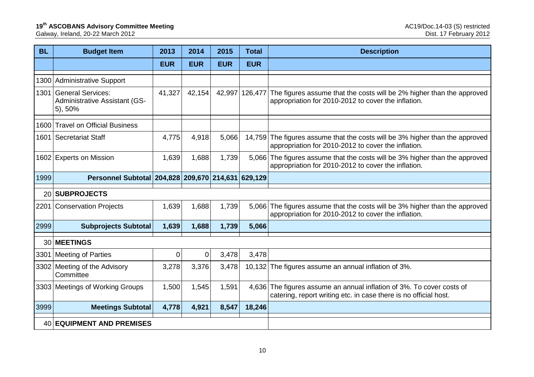| <b>BL</b>       | <b>Budget Item</b>                                                        | 2013        | 2014        | 2015       | <b>Total</b> | <b>Description</b>                                                                                                                        |
|-----------------|---------------------------------------------------------------------------|-------------|-------------|------------|--------------|-------------------------------------------------------------------------------------------------------------------------------------------|
|                 |                                                                           | <b>EUR</b>  | <b>EUR</b>  | <b>EUR</b> | <b>EUR</b>   |                                                                                                                                           |
|                 | 1300 Administrative Support                                               |             |             |            |              |                                                                                                                                           |
|                 | 1301 General Services:<br><b>Administrative Assistant (GS-</b><br>5), 50% | 41,327      | 42,154      | 42,997     | 126,477      | The figures assume that the costs will be 2% higher than the approved<br>appropriation for 2010-2012 to cover the inflation.              |
|                 | 1600 Travel on Official Business                                          |             |             |            |              |                                                                                                                                           |
| 1601            | Secretariat Staff                                                         | 4,775       | 4,918       | 5,066      |              | 14,759 The figures assume that the costs will be 3% higher than the approved<br>appropriation for 2010-2012 to cover the inflation.       |
|                 | 1602 Experts on Mission                                                   | 1,639       | 1,688       | 1,739      | 5,066        | The figures assume that the costs will be 3% higher than the approved<br>appropriation for 2010-2012 to cover the inflation.              |
| 1999            | Personnel Subtotal 204,828 209,670 214,631 629,129                        |             |             |            |              |                                                                                                                                           |
| 20              | <b>SUBPROJECTS</b>                                                        |             |             |            |              |                                                                                                                                           |
|                 | 2201 Conservation Projects                                                | 1,639       | 1,688       | 1,739      | 5,066        | The figures assume that the costs will be 3% higher than the approved<br>appropriation for 2010-2012 to cover the inflation.              |
| 2999            | <b>Subprojects Subtotal</b>                                               | 1,639       | 1,688       | 1,739      | 5,066        |                                                                                                                                           |
| 30 <sup>1</sup> | <b>MEETINGS</b>                                                           |             |             |            |              |                                                                                                                                           |
| 3301            | <b>Meeting of Parties</b>                                                 | $\mathbf 0$ | $\mathbf 0$ | 3,478      | 3,478        |                                                                                                                                           |
|                 | 3302 Meeting of the Advisory<br>Committee                                 | 3,278       | 3,376       | 3,478      |              | 10,132 The figures assume an annual inflation of 3%.                                                                                      |
|                 | 3303 Meetings of Working Groups                                           | 1,500       | 1,545       | 1,591      |              | 4,636 The figures assume an annual inflation of 3%. To cover costs of<br>catering, report writing etc. in case there is no official host. |
| 3999            | <b>Meetings Subtotal</b>                                                  | 4,778       | 4,921       | 8,547      | 18,246       |                                                                                                                                           |
|                 | 40 EQUIPMENT AND PREMISES                                                 |             |             |            |              |                                                                                                                                           |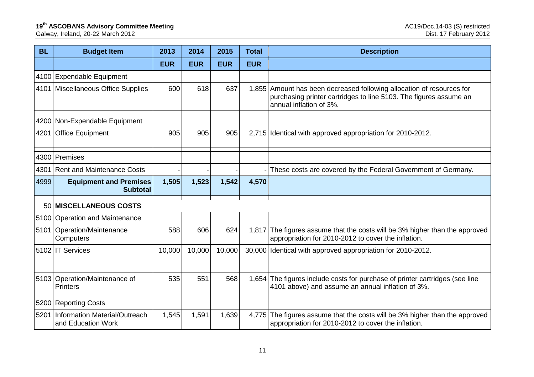| <b>BL</b> | <b>Budget Item</b>                                  | 2013       | 2014       | 2015       | <b>Total</b> | <b>Description</b>                                                                                                                                                    |
|-----------|-----------------------------------------------------|------------|------------|------------|--------------|-----------------------------------------------------------------------------------------------------------------------------------------------------------------------|
|           |                                                     | <b>EUR</b> | <b>EUR</b> | <b>EUR</b> | <b>EUR</b>   |                                                                                                                                                                       |
|           | 4100 Expendable Equipment                           |            |            |            |              |                                                                                                                                                                       |
|           | 4101   Miscellaneous Office Supplies                | 600        | 618        | 637        |              | 1,855 Amount has been decreased following allocation of resources for<br>purchasing printer cartridges to line 5103. The figures assume an<br>annual inflation of 3%. |
|           | 4200 Non-Expendable Equipment                       |            |            |            |              |                                                                                                                                                                       |
| 4201      | <b>Office Equipment</b>                             | 905        | 905        | 905        | 2,715        | Identical with approved appropriation for 2010-2012.                                                                                                                  |
|           | 4300 Premises                                       |            |            |            |              |                                                                                                                                                                       |
| 4301      | <b>Rent and Maintenance Costs</b>                   |            |            |            |              | These costs are covered by the Federal Government of Germany.                                                                                                         |
| 4999      | <b>Equipment and Premises</b><br><b>Subtotal</b>    | 1,505      | 1,523      | 1,542      | 4,570        |                                                                                                                                                                       |
|           | 50 MISCELLANEOUS COSTS                              |            |            |            |              |                                                                                                                                                                       |
|           | 5100 Operation and Maintenance                      |            |            |            |              |                                                                                                                                                                       |
|           | 5101 Operation/Maintenance<br>Computers             | 588        | 606        | 624        | 1,817        | The figures assume that the costs will be 3% higher than the approved<br>appropriation for 2010-2012 to cover the inflation.                                          |
|           | 5102 IT Services                                    | 10,000     | 10,000     | 10,000     | 30,000       | Identical with approved appropriation for 2010-2012.                                                                                                                  |
|           | 5103 Operation/Maintenance of<br><b>Printers</b>    | 535        | 551        | 568        | 1,654        | The figures include costs for purchase of printer cartridges (see line<br>4101 above) and assume an annual inflation of 3%.                                           |
|           | 5200 Reporting Costs                                |            |            |            |              |                                                                                                                                                                       |
| 5201      | Information Material/Outreach<br>and Education Work | 1,545      | 1,591      | 1,639      | 4,775        | The figures assume that the costs will be 3% higher than the approved<br>appropriation for 2010-2012 to cover the inflation.                                          |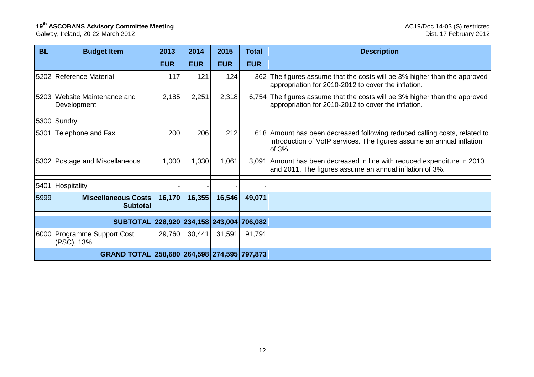| <b>BL</b> | <b>Budget Item</b>                          | 2013       | 2014       | 2015       | <b>Total</b> | <b>Description</b>                                                                                                                                           |
|-----------|---------------------------------------------|------------|------------|------------|--------------|--------------------------------------------------------------------------------------------------------------------------------------------------------------|
|           |                                             | <b>EUR</b> | <b>EUR</b> | <b>EUR</b> | <b>EUR</b>   |                                                                                                                                                              |
|           | 5202 Reference Material                     | 117        | 121        | 124        | 362          | The figures assume that the costs will be 3% higher than the approved<br>appropriation for 2010-2012 to cover the inflation.                                 |
|           | 5203 Website Maintenance and<br>Development | 2,185      | 2,251      | 2,318      |              | 6,754 The figures assume that the costs will be 3% higher than the approved<br>appropriation for 2010-2012 to cover the inflation.                           |
|           | 5300 Sundry                                 |            |            |            |              |                                                                                                                                                              |
| 5301      | Telephone and Fax                           | 200        | 206        | 212        |              | 618 Amount has been decreased following reduced calling costs, related to<br>introduction of VoIP services. The figures assume an annual inflation<br>of 3%. |
|           | 5302 Postage and Miscellaneous              | 1,000      | 1,030      | 1,061      |              | 3,091 Amount has been decreased in line with reduced expenditure in 2010<br>and 2011. The figures assume an annual inflation of 3%.                          |
| 5401      | <b>Hospitality</b>                          |            |            |            |              |                                                                                                                                                              |
| 5999      | Miscellaneous Costs<br><b>Subtotal</b>      | 16,170     | 16,355     | 16,546     | 49,071       |                                                                                                                                                              |
|           | SUBTOTAL 228,920 234,158 243,004 706,082    |            |            |            |              |                                                                                                                                                              |
|           | 6000 Programme Support Cost<br>(PSC), 13%   | 29,760     | 30,441     | 31,591     | 91,791       |                                                                                                                                                              |
|           | GRAND TOTAL 258,680 264,598 274,595 797,873 |            |            |            |              |                                                                                                                                                              |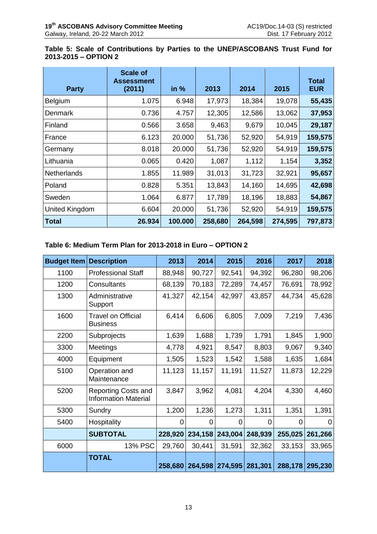# **Table 5: Scale of Contributions by Parties to the UNEP/ASCOBANS Trust Fund for 2013-2015 – OPTION 2**

| <b>Party</b>       | <b>Scale of</b><br><b>Assessment</b><br>(2011) | in %    | 2013    | 2014    | 2015    | <b>Total</b><br><b>EUR</b> |
|--------------------|------------------------------------------------|---------|---------|---------|---------|----------------------------|
| Belgium            | 1.075                                          | 6.948   | 17,973  | 18,384  | 19,078  | 55,435                     |
| Denmark            | 0.736                                          | 4.757   | 12,305  | 12,586  | 13,062  | 37,953                     |
| Finland            | 0.566                                          | 3.658   | 9,463   | 9,679   | 10,045  | 29,187                     |
| France             | 6.123                                          | 20.000  | 51,736  | 52,920  | 54,919  | 159,575                    |
| Germany            | 8.018                                          | 20.000  | 51,736  | 52,920  | 54,919  | 159,575                    |
| Lithuania          | 0.065                                          | 0.420   | 1,087   | 1,112   | 1,154   | 3,352                      |
| <b>Netherlands</b> | 1.855                                          | 11.989  | 31,013  | 31,723  | 32,921  | 95,657                     |
| Poland             | 0.828                                          | 5.351   | 13,843  | 14,160  | 14,695  | 42,698                     |
| Sweden             | 1.064                                          | 6.877   | 17,789  | 18,196  | 18,883  | 54,867                     |
| United Kingdom     | 6.604                                          | 20.000  | 51,736  | 52,920  | 54,919  | 159,575                    |
| <b>Total</b>       | 26.934                                         | 100.000 | 258,680 | 264,598 | 274,595 | 797,873                    |

# **Table 6: Medium Term Plan for 2013-2018 in Euro – OPTION 2**

| <b>Budget Item</b> | <b>Description</b>                                        | 2013    | 2014    | 2015            | 2016    | 2017    | 2018    |
|--------------------|-----------------------------------------------------------|---------|---------|-----------------|---------|---------|---------|
| 1100               | <b>Professional Staff</b>                                 | 88,948  | 90,727  | 92,541          | 94,392  | 96,280  | 98,206  |
| 1200               | Consultants                                               | 68,139  | 70,183  | 72,289          | 74,457  | 76,691  | 78,992  |
| 1300               | Administrative<br>Support                                 | 41,327  | 42,154  | 42,997          | 43,857  | 44,734  | 45,628  |
| 1600               | <b>Travel on Official</b><br><b>Business</b>              | 6,414   | 6,606   | 6,805           | 7,009   | 7,219   | 7,436   |
| 2200               | Subprojects                                               | 1,639   | 1,688   | 1,739           | 1,791   | 1,845   | 1,900   |
| 3300               | Meetings                                                  | 4,778   | 4,921   | 8,547           | 8,803   | 9,067   | 9,340   |
| 4000               | Equipment                                                 | 1,505   | 1,523   | 1,542           | 1,588   | 1,635   | 1,684   |
| 5100               | Operation and<br>Maintenance                              | 11,123  | 11,157  | 11,191          | 11,527  | 11,873  | 12,229  |
| 5200               | <b>Reporting Costs and</b><br><b>Information Material</b> | 3,847   | 3,962   | 4,081           | 4,204   | 4,330   | 4,460   |
| 5300               | Sundry                                                    | 1,200   | 1,236   | 1,273           | 1,311   | 1,351   | 1,391   |
| 5400               | Hospitality                                               | 0       | 0       | ∩               | 0       | 0       | 0       |
|                    | <b>SUBTOTAL</b>                                           | 228,920 | 234,158 | 243,004         | 248,939 | 255,025 | 261,266 |
| 6000               | 13% PSC                                                   | 29,760  | 30,441  | 31,591          | 32,362  | 33,153  | 33,965  |
|                    | <b>TOTAL</b>                                              | 258,680 | 264,598 | 274,595 281,301 |         | 288,178 | 295,230 |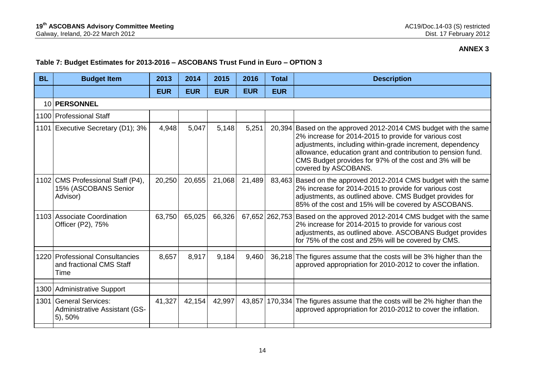# **Table 7: Budget Estimates for 2013-2016 – ASCOBANS Trust Fund in Euro – OPTION 3**

| <b>BL</b> | <b>Budget Item</b>                                                          | 2013       | 2014       | 2015       | 2016       | Total          | <b>Description</b>                                                                                                                                                                                                                                                                                                                      |
|-----------|-----------------------------------------------------------------------------|------------|------------|------------|------------|----------------|-----------------------------------------------------------------------------------------------------------------------------------------------------------------------------------------------------------------------------------------------------------------------------------------------------------------------------------------|
|           |                                                                             | <b>EUR</b> | <b>EUR</b> | <b>EUR</b> | <b>EUR</b> | <b>EUR</b>     |                                                                                                                                                                                                                                                                                                                                         |
|           | 10 PERSONNEL                                                                |            |            |            |            |                |                                                                                                                                                                                                                                                                                                                                         |
|           | 1100 Professional Staff                                                     |            |            |            |            |                |                                                                                                                                                                                                                                                                                                                                         |
|           | 1101 Executive Secretary (D1); 3%                                           | 4,948      | 5,047      | 5,148      | 5,251      |                | 20,394 Based on the approved 2012-2014 CMS budget with the same<br>2% increase for 2014-2015 to provide for various cost<br>adjustments, including within-grade increment, dependency<br>allowance, education grant and contribution to pension fund.<br>CMS Budget provides for 97% of the cost and 3% will be<br>covered by ASCOBANS. |
|           | 1102 CMS Professional Staff (P4),<br>15% (ASCOBANS Senior<br>Advisor)       | 20,250     | 20,655     | 21,068     | 21,489     |                | 83,463 Based on the approved 2012-2014 CMS budget with the same<br>2% increase for 2014-2015 to provide for various cost<br>adjustments, as outlined above. CMS Budget provides for<br>85% of the cost and 15% will be covered by ASCOBANS.                                                                                             |
|           | 1103 Associate Coordination<br>Officer (P2), 75%                            | 63,750     | 65,025     | 66,326     |            | 67,652 262,753 | Based on the approved 2012-2014 CMS budget with the same<br>2% increase for 2014-2015 to provide for various cost<br>adjustments, as outlined above. ASCOBANS Budget provides<br>for 75% of the cost and 25% will be covered by CMS.                                                                                                    |
|           | 1220 Professional Consultancies<br>and fractional CMS Staff<br>Time         | 8,657      | 8,917      | 9,184      | 9,460      | 36,218         | The figures assume that the costs will be 3% higher than the<br>approved appropriation for 2010-2012 to cover the inflation.                                                                                                                                                                                                            |
|           | 1300 Administrative Support                                                 |            |            |            |            |                |                                                                                                                                                                                                                                                                                                                                         |
| 1301      | <b>General Services:</b><br><b>Administrative Assistant (GS-</b><br>5), 50% | 41,327     | 42,154     | 42,997     |            |                | 43,857   170,334   The figures assume that the costs will be 2% higher than the<br>approved appropriation for 2010-2012 to cover the inflation.                                                                                                                                                                                         |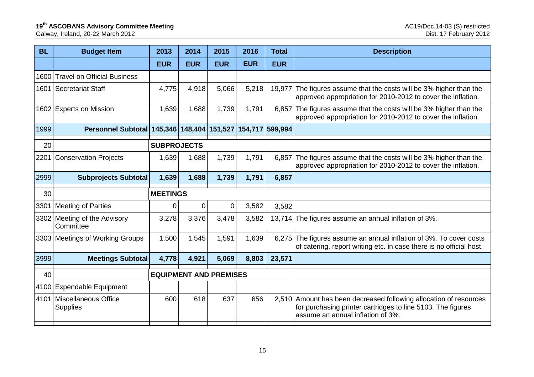| <b>BL</b> | <b>Budget Item</b>                                         | 2013               | 2014                          | 2015           | 2016       | <b>Total</b> | <b>Description</b>                                                                                                                                                    |
|-----------|------------------------------------------------------------|--------------------|-------------------------------|----------------|------------|--------------|-----------------------------------------------------------------------------------------------------------------------------------------------------------------------|
|           |                                                            | <b>EUR</b>         | <b>EUR</b>                    | <b>EUR</b>     | <b>EUR</b> | <b>EUR</b>   |                                                                                                                                                                       |
| 1600      | <b>Travel on Official Business</b>                         |                    |                               |                |            |              |                                                                                                                                                                       |
| 1601      | Secretariat Staff                                          | 4,775              | 4,918                         | 5,066          | 5,218      | 19,977       | The figures assume that the costs will be 3% higher than the<br>approved appropriation for 2010-2012 to cover the inflation.                                          |
| 1602      | <b>Experts on Mission</b>                                  | 1,639              | 1,688                         | 1,739          | 1,791      | 6,857        | The figures assume that the costs will be 3% higher than the<br>approved appropriation for 2010-2012 to cover the inflation.                                          |
| 1999      | Personnel Subtotal 145,346 148,404 151,527 154,717 599,994 |                    |                               |                |            |              |                                                                                                                                                                       |
| 20        |                                                            | <b>SUBPROJECTS</b> |                               |                |            |              |                                                                                                                                                                       |
| 2201      | <b>Conservation Projects</b>                               | 1,639              | 1,688                         | 1,739          | 1,791      | 6,857        | The figures assume that the costs will be 3% higher than the<br>approved appropriation for 2010-2012 to cover the inflation.                                          |
| 2999      | <b>Subprojects Subtotal</b>                                | 1,639              | 1,688                         | 1,739          | 1,791      | 6,857        |                                                                                                                                                                       |
| 30        |                                                            | <b>MEETINGS</b>    |                               |                |            |              |                                                                                                                                                                       |
| 3301      | <b>Meeting of Parties</b>                                  | $\overline{0}$     | $\overline{0}$                | $\overline{0}$ | 3,582      | 3,582        |                                                                                                                                                                       |
| 3302      | Meeting of the Advisory<br>Committee                       | 3,278              | 3,376                         | 3,478          | 3,582      |              | 13,714 The figures assume an annual inflation of 3%.                                                                                                                  |
|           | 3303 Meetings of Working Groups                            | 1,500              | 1,545                         | 1,591          | 1,639      |              | 6,275 The figures assume an annual inflation of 3%. To cover costs<br>of catering, report writing etc. in case there is no official host.                             |
| 3999      | <b>Meetings Subtotal</b>                                   | 4,778              | 4,921                         | 5,069          | 8,803      | 23,571       |                                                                                                                                                                       |
| 40        |                                                            |                    | <b>EQUIPMENT AND PREMISES</b> |                |            |              |                                                                                                                                                                       |
| 4100      | <b>Expendable Equipment</b>                                |                    |                               |                |            |              |                                                                                                                                                                       |
| 4101      | Miscellaneous Office<br><b>Supplies</b>                    | 600                | 618                           | 637            | 656        |              | 2,510 Amount has been decreased following allocation of resources<br>for purchasing printer cartridges to line 5103. The figures<br>assume an annual inflation of 3%. |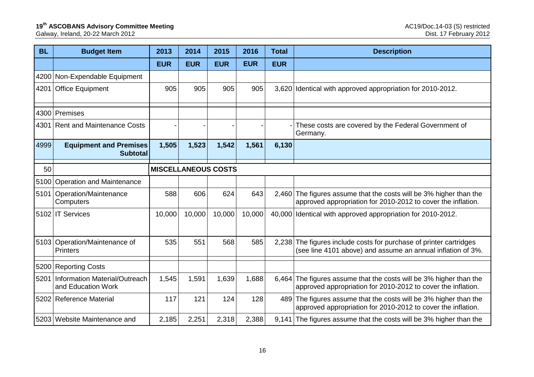| <b>BL</b> | <b>Budget Item</b>                                  | 2013                       | 2014       | 2015       | 2016       | <b>Total</b> | <b>Description</b>                                                                                                                 |
|-----------|-----------------------------------------------------|----------------------------|------------|------------|------------|--------------|------------------------------------------------------------------------------------------------------------------------------------|
|           |                                                     | <b>EUR</b>                 | <b>EUR</b> | <b>EUR</b> | <b>EUR</b> | <b>EUR</b>   |                                                                                                                                    |
| 4200      | Non-Expendable Equipment                            |                            |            |            |            |              |                                                                                                                                    |
| 4201      | <b>Office Equipment</b>                             | 905                        | 905        | 905        | 905        |              | 3,620 Identical with approved appropriation for 2010-2012.                                                                         |
|           | 4300 Premises                                       |                            |            |            |            |              |                                                                                                                                    |
| 4301      | <b>Rent and Maintenance Costs</b>                   |                            |            |            |            |              | These costs are covered by the Federal Government of<br>Germany.                                                                   |
| 4999      | <b>Equipment and Premises</b><br><b>Subtotal</b>    | 1,505                      | 1,523      | 1,542      | 1,561      | 6,130        |                                                                                                                                    |
| 50        |                                                     | <b>MISCELLANEOUS COSTS</b> |            |            |            |              |                                                                                                                                    |
| 5100      | <b>Operation and Maintenance</b>                    |                            |            |            |            |              |                                                                                                                                    |
|           | 5101   Operation/Maintenance<br>Computers           | 588                        | 606        | 624        | 643        |              | 2,460 The figures assume that the costs will be 3% higher than the<br>approved appropriation for 2010-2012 to cover the inflation. |
|           | 5102 IT Services                                    | 10,000                     | 10,000     | 10,000     | 10,000     |              | 40,000 Identical with approved appropriation for 2010-2012.                                                                        |
|           | 5103 Operation/Maintenance of<br><b>Printers</b>    | 535                        | 551        | 568        | 585        |              | 2,238 The figures include costs for purchase of printer cartridges<br>(see line 4101 above) and assume an annual inflation of 3%.  |
|           | 5200 Reporting Costs                                |                            |            |            |            |              |                                                                                                                                    |
| 5201      | Information Material/Outreach<br>and Education Work | 1,545                      | 1,591      | 1,639      | 1,688      |              | 6,464 The figures assume that the costs will be 3% higher than the<br>approved appropriation for 2010-2012 to cover the inflation. |
|           | 5202 Reference Material                             | 117                        | 121        | 124        | 128        |              | 489 The figures assume that the costs will be 3% higher than the<br>approved appropriation for 2010-2012 to cover the inflation.   |
|           | 5203 Website Maintenance and                        | 2,185                      | 2,251      | 2,318      | 2,388      |              | 9,141 The figures assume that the costs will be 3% higher than the                                                                 |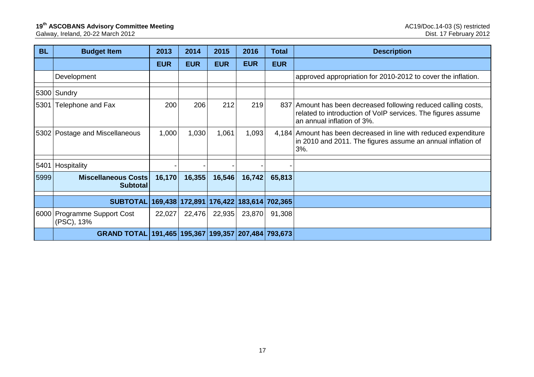| <b>BL</b> | <b>Budget Item</b>                                  | 2013       | 2014              | 2015       | 2016       | Total                   | <b>Description</b>                                                                                                                                           |
|-----------|-----------------------------------------------------|------------|-------------------|------------|------------|-------------------------|--------------------------------------------------------------------------------------------------------------------------------------------------------------|
|           |                                                     | <b>EUR</b> | <b>EUR</b>        | <b>EUR</b> | <b>EUR</b> | <b>EUR</b>              |                                                                                                                                                              |
|           | Development                                         |            |                   |            |            |                         | approved appropriation for 2010-2012 to cover the inflation.                                                                                                 |
|           | 5300 Sundry                                         |            |                   |            |            |                         |                                                                                                                                                              |
| 5301      | Telephone and Fax                                   | 200        | 206               | 212        | 219        |                         | 837 Amount has been decreased following reduced calling costs,<br>related to introduction of VoIP services. The figures assume<br>an annual inflation of 3%. |
|           | 5302 Postage and Miscellaneous                      | 1,000      | 1,030             | 1,061      | 1,093      |                         | 4,184 Amount has been decreased in line with reduced expenditure<br>in 2010 and 2011. The figures assume an annual inflation of<br>3%.                       |
| 5401      | Hospitality                                         |            |                   |            |            |                         |                                                                                                                                                              |
| 5999      | <b>Miscellaneous Costs</b><br><b>Subtotal</b>       | 16,170     | 16,355            | 16,546     | 16,742     | 65,813                  |                                                                                                                                                              |
|           | <b>SUBTOTAL</b>                                     |            | 169,438   172,891 |            |            | 176,422 183,614 702,365 |                                                                                                                                                              |
|           | 6000 Programme Support Cost<br>(PSC), 13%           | 22,027     | 22,476            | 22,935     | 23,870     | 91,308                  |                                                                                                                                                              |
|           | GRAND TOTAL 191,465 195,367 199,357 207,484 793,673 |            |                   |            |            |                         |                                                                                                                                                              |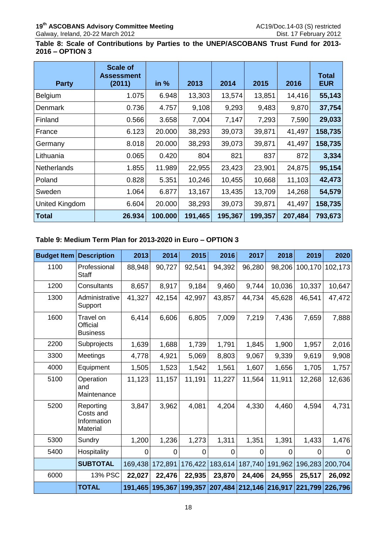**Table 8: Scale of Contributions by Parties to the UNEP/ASCOBANS Trust Fund for 2013- 2016 – OPTION 3**

| <b>Party</b>       | <b>Scale of</b><br><b>Assessment</b><br>(2011) | in $%$  | 2013    | 2014    | 2015    | 2016    | <b>Total</b><br><b>EUR</b> |
|--------------------|------------------------------------------------|---------|---------|---------|---------|---------|----------------------------|
| Belgium            | 1.075                                          | 6.948   | 13,303  | 13,574  | 13,851  | 14,416  | 55,143                     |
| Denmark            | 0.736                                          | 4.757   | 9,108   | 9,293   | 9,483   | 9,870   | 37,754                     |
| Finland            | 0.566                                          | 3.658   | 7,004   | 7,147   | 7,293   | 7,590   | 29,033                     |
| France             | 6.123                                          | 20.000  | 38,293  | 39,073  | 39,871  | 41,497  | 158,735                    |
| Germany            | 8.018                                          | 20.000  | 38,293  | 39,073  | 39,871  | 41,497  | 158,735                    |
| Lithuania          | 0.065                                          | 0.420   | 804     | 821     | 837     | 872     | 3,334                      |
| <b>Netherlands</b> | 1.855                                          | 11.989  | 22,955  | 23,423  | 23,901  | 24,875  | 95,154                     |
| Poland             | 0.828                                          | 5.351   | 10,246  | 10,455  | 10,668  | 11,103  | 42,473                     |
| Sweden             | 1.064                                          | 6.877   | 13,167  | 13,435  | 13,709  | 14,268  | 54,579                     |
| United Kingdom     | 6.604                                          | 20.000  | 38,293  | 39,073  | 39,871  | 41,497  | 158,735                    |
| <b>Total</b>       | 26.934                                         | 100.000 | 191,465 | 195,367 | 199,357 | 207,484 | 793,673                    |

### **Table 9: Medium Term Plan for 2013-2020 in Euro – OPTION 3**

| <b>Budget Item</b> | <b>Description</b>                                | 2013    | 2014    | 2015     | 2016    | 2017            | 2018    | 2019    | 2020            |
|--------------------|---------------------------------------------------|---------|---------|----------|---------|-----------------|---------|---------|-----------------|
| 1100               | Professional<br>Staff                             | 88,948  | 90,727  | 92,541   | 94,392  | 96,280          | 98,206  | 100,170 | 102,173         |
| 1200               | Consultants                                       | 8,657   | 8,917   | 9,184    | 9,460   | 9,744           | 10,036  | 10,337  | 10,647          |
| 1300               | Administrative<br>Support                         | 41,327  | 42,154  | 42,997   | 43,857  | 44,734          | 45,628  | 46,541  | 47,472          |
| 1600               | Travel on<br>Official<br><b>Business</b>          | 6,414   | 6,606   | 6,805    | 7,009   | 7,219           | 7,436   | 7,659   | 7,888           |
| 2200               | Subprojects                                       | 1,639   | 1,688   | 1,739    | 1,791   | 1,845           | 1,900   | 1,957   | 2,016           |
| 3300               | Meetings                                          | 4,778   | 4,921   | 5,069    | 8,803   | 9,067           | 9,339   | 9,619   | 9,908           |
| 4000               | Equipment                                         | 1,505   | 1,523   | 1,542    | 1,561   | 1,607           | 1,656   | 1,705   | 1,757           |
| 5100               | Operation<br>and<br>Maintenance                   | 11,123  | 11,157  | 11,191   | 11,227  | 11,564          | 11,911  | 12,268  | 12,636          |
| 5200               | Reporting<br>Costs and<br>Information<br>Material | 3,847   | 3,962   | 4,081    | 4,204   | 4,330           | 4,460   | 4,594   | 4,731           |
| 5300               | Sundry                                            | 1,200   | 1,236   | 1,273    | 1,311   | 1,351           | 1,391   | 1,433   | 1,476           |
| 5400               | Hospitality                                       | 0       | 0       | $\Omega$ | 0       | 0               | 0       | 0       | 0               |
|                    | <b>SUBTOTAL</b>                                   | 169,438 | 172,891 | 176,422  | 183,614 | 187,740         | 191,962 |         | 196,283 200,704 |
| 6000               | 13% PSC                                           | 22,027  | 22,476  | 22,935   | 23,870  | 24,406          | 24,955  | 25,517  | 26,092          |
|                    | <b>TOTAL</b>                                      | 191,465 | 195,367 | 199,357  | 207,484 | 212,146 216,917 |         |         | 221,799 226,796 |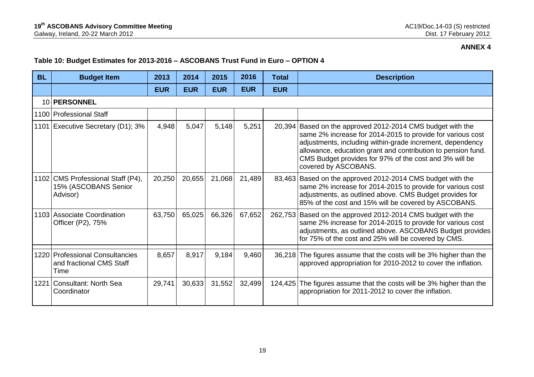# **Table 10: Budget Estimates for 2013-2016 – ASCOBANS Trust Fund in Euro – OPTION 4**

| <b>BL</b> | <b>Budget Item</b>                                                    | 2013       | 2014       | 2015       | 2016       | <b>Total</b> | <b>Description</b>                                                                                                                                                                                                                                                                                                                      |
|-----------|-----------------------------------------------------------------------|------------|------------|------------|------------|--------------|-----------------------------------------------------------------------------------------------------------------------------------------------------------------------------------------------------------------------------------------------------------------------------------------------------------------------------------------|
|           |                                                                       | <b>EUR</b> | <b>EUR</b> | <b>EUR</b> | <b>EUR</b> | <b>EUR</b>   |                                                                                                                                                                                                                                                                                                                                         |
|           | 10 PERSONNEL                                                          |            |            |            |            |              |                                                                                                                                                                                                                                                                                                                                         |
|           | 1100 Professional Staff                                               |            |            |            |            |              |                                                                                                                                                                                                                                                                                                                                         |
|           | 1101 Executive Secretary (D1); 3%                                     | 4,948      | 5,047      | 5,148      | 5,251      |              | 20,394 Based on the approved 2012-2014 CMS budget with the<br>same 2% increase for 2014-2015 to provide for various cost<br>adjustments, including within-grade increment, dependency<br>allowance, education grant and contribution to pension fund.<br>CMS Budget provides for 97% of the cost and 3% will be<br>covered by ASCOBANS. |
|           | 1102 CMS Professional Staff (P4),<br>15% (ASCOBANS Senior<br>Advisor) | 20,250     | 20,655     | 21,068     | 21,489     |              | 83,463 Based on the approved 2012-2014 CMS budget with the<br>same 2% increase for 2014-2015 to provide for various cost<br>adjustments, as outlined above. CMS Budget provides for<br>85% of the cost and 15% will be covered by ASCOBANS.                                                                                             |
|           | 1103 Associate Coordination<br>Officer (P2), 75%                      | 63,750     | 65,025     | 66,326     | 67,652     |              | 262,753 Based on the approved 2012-2014 CMS budget with the<br>same 2% increase for 2014-2015 to provide for various cost<br>adjustments, as outlined above. ASCOBANS Budget provides<br>for 75% of the cost and 25% will be covered by CMS.                                                                                            |
|           | 1220 Professional Consultancies<br>and fractional CMS Staff<br>Time   | 8,657      | 8,917      | 9,184      | 9,460      | 36,218       | The figures assume that the costs will be 3% higher than the<br>approved appropriation for 2010-2012 to cover the inflation.                                                                                                                                                                                                            |
|           | 1221 Consultant: North Sea<br>Coordinator                             | 29,741     | 30,633     | 31,552     | 32,499     | 124,425      | The figures assume that the costs will be 3% higher than the<br>appropriation for 2011-2012 to cover the inflation.                                                                                                                                                                                                                     |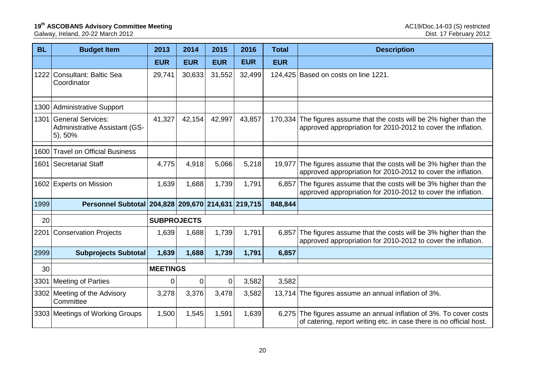#### **19<sup>th</sup> ASCOBANS Advisory Committee Meeting and Actual Committee of Meeting and AC19/Doc.14-03 (S) restricted**

Galway, Ireland, 20-22 March 2012 Dist. 17 February 2012

| <b>BL</b> | <b>Budget Item</b>                                                          | 2013               | 2014        | 2015        | 2016       | <b>Total</b> | <b>Description</b>                                                                                                                  |
|-----------|-----------------------------------------------------------------------------|--------------------|-------------|-------------|------------|--------------|-------------------------------------------------------------------------------------------------------------------------------------|
|           |                                                                             | <b>EUR</b>         | <b>EUR</b>  | <b>EUR</b>  | <b>EUR</b> | <b>EUR</b>   |                                                                                                                                     |
| 1222      | <b>Consultant: Baltic Sea</b><br>Coordinator                                | 29,741             | 30,633      | 31,552      | 32,499     |              | 124,425 Based on costs on line 1221.                                                                                                |
|           | 1300 Administrative Support                                                 |                    |             |             |            |              |                                                                                                                                     |
| 1301      | <b>General Services:</b><br><b>Administrative Assistant (GS-</b><br>5), 50% | 41,327             | 42,154      | 42,997      | 43,857     | 170,334      | The figures assume that the costs will be 2% higher than the<br>approved appropriation for 2010-2012 to cover the inflation.        |
| 1600      | <b>Travel on Official Business</b>                                          |                    |             |             |            |              |                                                                                                                                     |
|           | 1601 Secretariat Staff                                                      | 4,775              | 4,918       | 5,066       | 5,218      | 19,977       | The figures assume that the costs will be 3% higher than the<br>approved appropriation for 2010-2012 to cover the inflation.        |
|           | 1602 Experts on Mission                                                     | 1,639              | 1,688       | 1,739       | 1,791      | 6,857        | The figures assume that the costs will be 3% higher than the<br>approved appropriation for 2010-2012 to cover the inflation.        |
| 1999      | Personnel Subtotal 204,828 209,670 214,631 219,715                          |                    |             |             |            | 848,844      |                                                                                                                                     |
| 20        |                                                                             | <b>SUBPROJECTS</b> |             |             |            |              |                                                                                                                                     |
| 2201      | <b>Conservation Projects</b>                                                | 1,639              | 1,688       | 1,739       | 1,791      | 6,857        | The figures assume that the costs will be 3% higher than the<br>approved appropriation for 2010-2012 to cover the inflation.        |
| 2999      | <b>Subprojects Subtotal</b>                                                 | 1,639              | 1,688       | 1,739       | 1,791      | 6,857        |                                                                                                                                     |
| 30        |                                                                             | <b>MEETINGS</b>    |             |             |            |              |                                                                                                                                     |
| 3301      | Meeting of Parties                                                          | $\mathbf 0$        | $\mathbf 0$ | $\mathbf 0$ | 3,582      | 3,582        |                                                                                                                                     |
|           | 3302 Meeting of the Advisory<br>Committee                                   | 3,278              | 3,376       | 3,478       | 3,582      |              | 13,714 The figures assume an annual inflation of 3%.                                                                                |
|           | 3303 Meetings of Working Groups                                             | 1,500              | 1,545       | 1,591       | 1,639      | 6,275        | The figures assume an annual inflation of 3%. To cover costs<br>of catering, report writing etc. in case there is no official host. |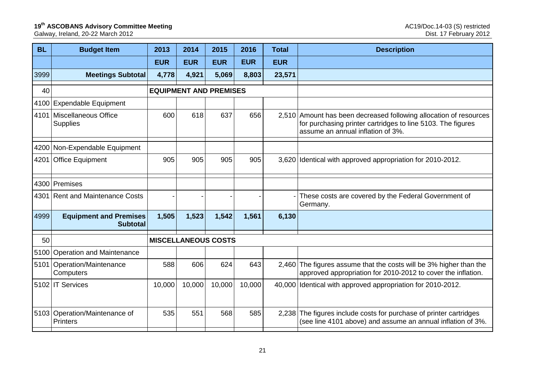#### **19<sup>th</sup> ASCOBANS Advisory Committee Meeting and Actual Committee of Meeting and AC19/Doc.14-03 (S) restricted**

Galway, Ireland, 20-22 March 2012 Dist. 17 February 2012

| <b>BL</b> | <b>Budget Item</b>                               | 2013       | 2014       | 2015                          | 2016       | <b>Total</b> | <b>Description</b>                                                                                                                                                    |
|-----------|--------------------------------------------------|------------|------------|-------------------------------|------------|--------------|-----------------------------------------------------------------------------------------------------------------------------------------------------------------------|
|           |                                                  | <b>EUR</b> | <b>EUR</b> | <b>EUR</b>                    | <b>EUR</b> | <b>EUR</b>   |                                                                                                                                                                       |
| 3999      | <b>Meetings Subtotal</b>                         | 4,778      | 4,921      | 5,069                         | 8,803      | 23,571       |                                                                                                                                                                       |
| 40        |                                                  |            |            | <b>EQUIPMENT AND PREMISES</b> |            |              |                                                                                                                                                                       |
|           | 4100 Expendable Equipment                        |            |            |                               |            |              |                                                                                                                                                                       |
| 4101      | Miscellaneous Office<br><b>Supplies</b>          | 600        | 618        | 637                           | 656        |              | 2,510 Amount has been decreased following allocation of resources<br>for purchasing printer cartridges to line 5103. The figures<br>assume an annual inflation of 3%. |
|           | 4200 Non-Expendable Equipment                    |            |            |                               |            |              |                                                                                                                                                                       |
| 4201      | <b>Office Equipment</b>                          | 905        | 905        | 905                           | 905        |              | 3,620 Identical with approved appropriation for 2010-2012.                                                                                                            |
|           | 4300 Premises                                    |            |            |                               |            |              |                                                                                                                                                                       |
|           | 4301 Rent and Maintenance Costs                  |            |            |                               |            |              | These costs are covered by the Federal Government of<br>Germany.                                                                                                      |
| 4999      | <b>Equipment and Premises</b><br><b>Subtotal</b> | 1,505      | 1,523      | 1,542                         | 1,561      | 6,130        |                                                                                                                                                                       |
| 50        |                                                  |            |            | <b>MISCELLANEOUS COSTS</b>    |            |              |                                                                                                                                                                       |
|           | 5100 Operation and Maintenance                   |            |            |                               |            |              |                                                                                                                                                                       |
|           | 5101 Operation/Maintenance<br>Computers          | 588        | 606        | 624                           | 643        | 2.460        | The figures assume that the costs will be 3% higher than the<br>approved appropriation for 2010-2012 to cover the inflation.                                          |
|           | 5102 IT Services                                 | 10,000     | 10,000     | 10,000                        | 10,000     |              | 40,000 Identical with approved appropriation for 2010-2012.                                                                                                           |
|           | 5103 Operation/Maintenance of<br><b>Printers</b> | 535        | 551        | 568                           | 585        | 2,238        | The figures include costs for purchase of printer cartridges<br>(see line 4101 above) and assume an annual inflation of 3%.                                           |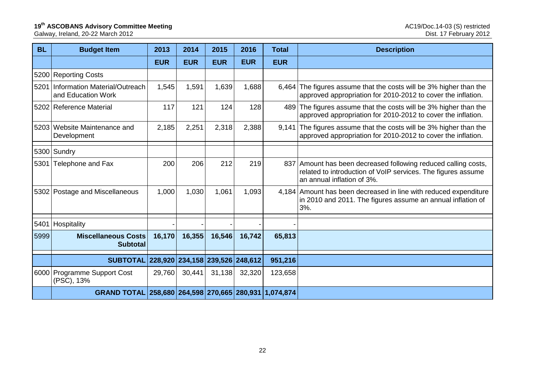## **19<sup>th</sup> ASCOBANS Advisory Committee Meeting and Actual Committee of Meeting and AC19/Doc.14-03 (S) restricted**

Galway, Ireland, 20-22 March 2012 Dist. 17 February 2012

| <b>BL</b> | <b>Budget Item</b>                                    | 2013       | 2014       | 2015       | 2016                            | <b>Total</b> | <b>Description</b>                                                                                                                                           |
|-----------|-------------------------------------------------------|------------|------------|------------|---------------------------------|--------------|--------------------------------------------------------------------------------------------------------------------------------------------------------------|
|           |                                                       | <b>EUR</b> | <b>EUR</b> | <b>EUR</b> | <b>EUR</b>                      | <b>EUR</b>   |                                                                                                                                                              |
|           | 5200 Reporting Costs                                  |            |            |            |                                 |              |                                                                                                                                                              |
| 5201      | Information Material/Outreach<br>and Education Work   | 1,545      | 1,591      | 1,639      | 1,688                           | 6,464        | The figures assume that the costs will be 3% higher than the<br>approved appropriation for 2010-2012 to cover the inflation.                                 |
|           | 5202 Reference Material                               | 117        | 121        | 124        | 128                             | 489          | The figures assume that the costs will be 3% higher than the<br>approved appropriation for 2010-2012 to cover the inflation.                                 |
|           | 5203 Website Maintenance and<br>Development           | 2,185      | 2,251      | 2,318      | 2,388                           | 9,141        | The figures assume that the costs will be 3% higher than the<br>approved appropriation for 2010-2012 to cover the inflation.                                 |
|           | 5300 Sundry                                           |            |            |            |                                 |              |                                                                                                                                                              |
|           | 5301 Telephone and Fax                                | 200        | 206        | 212        | 219                             |              | 837 Amount has been decreased following reduced calling costs,<br>related to introduction of VoIP services. The figures assume<br>an annual inflation of 3%. |
|           | 5302 Postage and Miscellaneous                        | 1,000      | 1,030      | 1,061      | 1,093                           |              | 4,184 Amount has been decreased in line with reduced expenditure<br>in 2010 and 2011. The figures assume an annual inflation of<br>3%.                       |
| 5401      | Hospitality                                           |            |            |            |                                 |              |                                                                                                                                                              |
| 5999      | <b>Miscellaneous Costs</b><br><b>Subtotal</b>         | 16,170     | 16,355     | 16,546     | 16,742                          | 65,813       |                                                                                                                                                              |
|           | <b>SUBTOTAL</b>                                       |            |            |            | 228,920 234,158 239,526 248,612 | 951,216      |                                                                                                                                                              |
|           | 6000 Programme Support Cost<br>(PSC), 13%             | 29,760     | 30,441     | 31,138     | 32,320                          | 123,658      |                                                                                                                                                              |
|           | GRAND TOTAL 258,680 264,598 270,665 280,931 1,074,874 |            |            |            |                                 |              |                                                                                                                                                              |